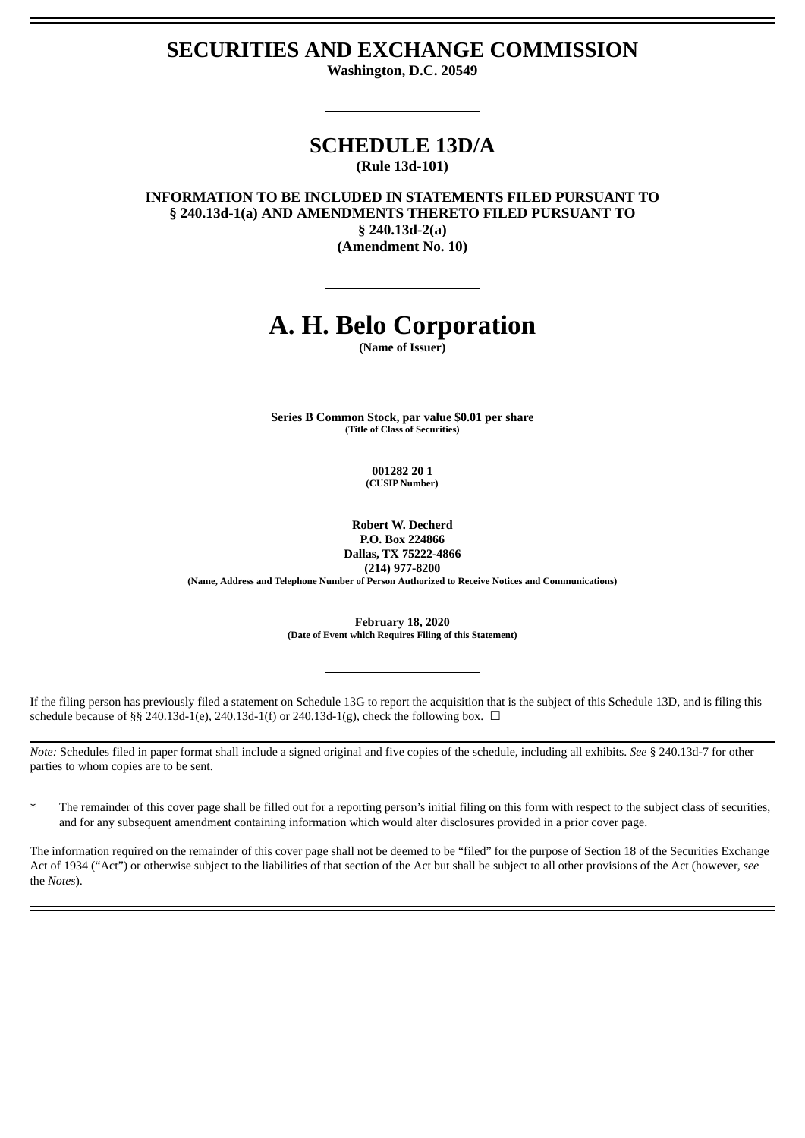# **SECURITIES AND EXCHANGE COMMISSION**

**Washington, D.C. 20549**

## **SCHEDULE 13D/A (Rule 13d-101)**

**INFORMATION TO BE INCLUDED IN STATEMENTS FILED PURSUANT TO § 240.13d-1(a) AND AMENDMENTS THERETO FILED PURSUANT TO § 240.13d-2(a) (Amendment No. 10)**

# **A. H. Belo Corporation**

**(Name of Issuer)**

**Series B Common Stock, par value \$0.01 per share (Title of Class of Securities)**

> **001282 20 1 (CUSIP Number)**

**Robert W. Decherd P.O. Box 224866**

**Dallas, TX 75222-4866 (214) 977-8200 (Name, Address and Telephone Number of Person Authorized to Receive Notices and Communications)**

> **February 18, 2020 (Date of Event which Requires Filing of this Statement)**

If the filing person has previously filed a statement on Schedule 13G to report the acquisition that is the subject of this Schedule 13D, and is filing this schedule because of §§ 240.13d-1(e), 240.13d-1(f) or 240.13d-1(g), check the following box.  $\Box$ 

*Note:* Schedules filed in paper format shall include a signed original and five copies of the schedule, including all exhibits. *See* § 240.13d-7 for other parties to whom copies are to be sent.

\* The remainder of this cover page shall be filled out for a reporting person's initial filing on this form with respect to the subject class of securities, and for any subsequent amendment containing information which would alter disclosures provided in a prior cover page.

The information required on the remainder of this cover page shall not be deemed to be "filed" for the purpose of Section 18 of the Securities Exchange Act of 1934 ("Act") or otherwise subject to the liabilities of that section of the Act but shall be subject to all other provisions of the Act (however, *see* the *Notes*).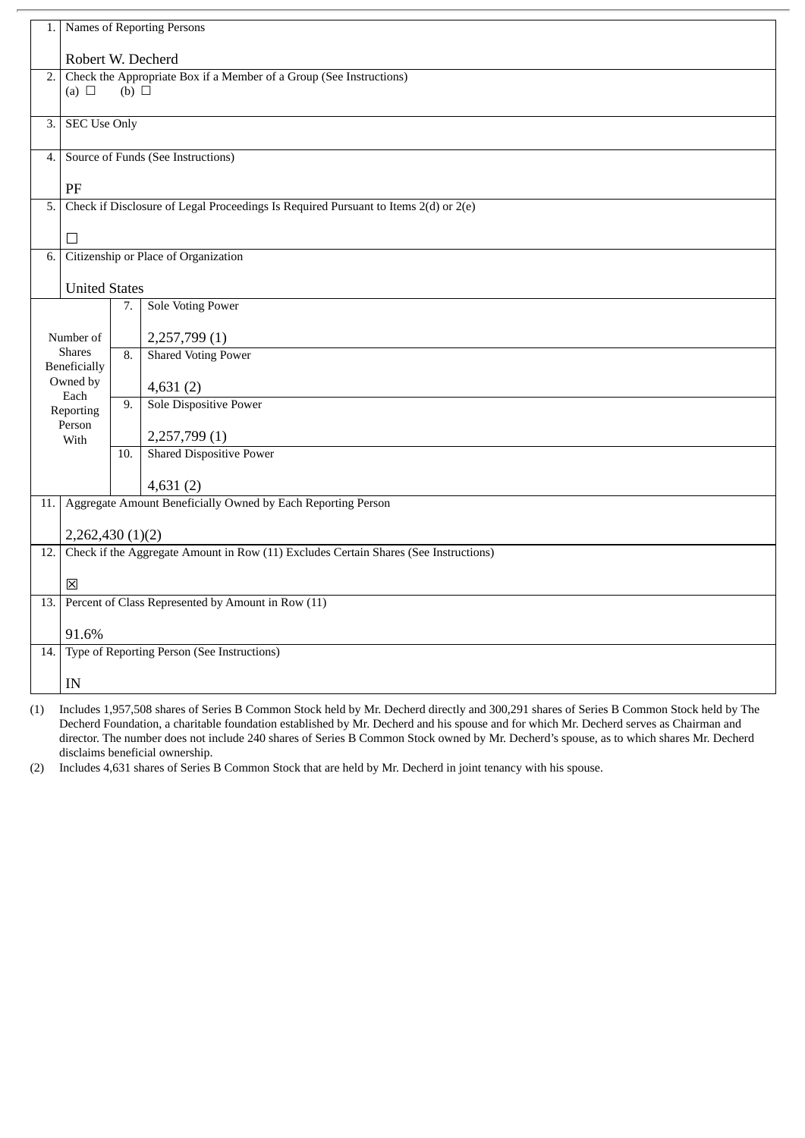| 1.                                                                                                                  | Names of Reporting Persons                                                           |     |                                 |  |
|---------------------------------------------------------------------------------------------------------------------|--------------------------------------------------------------------------------------|-----|---------------------------------|--|
|                                                                                                                     | Robert W. Decherd                                                                    |     |                                 |  |
| Check the Appropriate Box if a Member of a Group (See Instructions)<br>$\overline{2}$ .<br>(a) $\Box$<br>(b) $\Box$ |                                                                                      |     |                                 |  |
|                                                                                                                     |                                                                                      |     |                                 |  |
| 3.                                                                                                                  | <b>SEC Use Only</b>                                                                  |     |                                 |  |
| 4.                                                                                                                  | Source of Funds (See Instructions)                                                   |     |                                 |  |
|                                                                                                                     | PF                                                                                   |     |                                 |  |
| 5.                                                                                                                  | Check if Disclosure of Legal Proceedings Is Required Pursuant to Items 2(d) or 2(e)  |     |                                 |  |
|                                                                                                                     | П                                                                                    |     |                                 |  |
| $\overline{6}$ .                                                                                                    | Citizenship or Place of Organization                                                 |     |                                 |  |
|                                                                                                                     | <b>United States</b>                                                                 |     |                                 |  |
|                                                                                                                     |                                                                                      | 7.  | <b>Sole Voting Power</b>        |  |
| Number of<br><b>Shares</b><br>Beneficially<br>Owned by                                                              |                                                                                      |     | 2,257,799(1)                    |  |
|                                                                                                                     |                                                                                      | 8.  | <b>Shared Voting Power</b>      |  |
|                                                                                                                     |                                                                                      |     | 4,631(2)                        |  |
|                                                                                                                     | Each<br>Reporting                                                                    | 9.  | <b>Sole Dispositive Power</b>   |  |
| Person<br>With                                                                                                      |                                                                                      |     | 2,257,799(1)                    |  |
|                                                                                                                     |                                                                                      | 10. | <b>Shared Dispositive Power</b> |  |
|                                                                                                                     |                                                                                      |     | 4,631(2)                        |  |
| 11.1                                                                                                                | Aggregate Amount Beneficially Owned by Each Reporting Person                         |     |                                 |  |
|                                                                                                                     | 2,262,430(1)(2)                                                                      |     |                                 |  |
| 12.                                                                                                                 | Check if the Aggregate Amount in Row (11) Excludes Certain Shares (See Instructions) |     |                                 |  |
|                                                                                                                     | $\boxtimes$                                                                          |     |                                 |  |
|                                                                                                                     | 13. Percent of Class Represented by Amount in Row (11)                               |     |                                 |  |
|                                                                                                                     | 91.6%                                                                                |     |                                 |  |
|                                                                                                                     | 14. Type of Reporting Person (See Instructions)                                      |     |                                 |  |
|                                                                                                                     | IN                                                                                   |     |                                 |  |

(1) Includes 1,957,508 shares of Series B Common Stock held by Mr. Decherd directly and 300,291 shares of Series B Common Stock held by The Decherd Foundation, a charitable foundation established by Mr. Decherd and his spouse and for which Mr. Decherd serves as Chairman and director. The number does not include 240 shares of Series B Common Stock owned by Mr. Decherd's spouse, as to which shares Mr. Decherd disclaims beneficial ownership.

(2) Includes 4,631 shares of Series B Common Stock that are held by Mr. Decherd in joint tenancy with his spouse.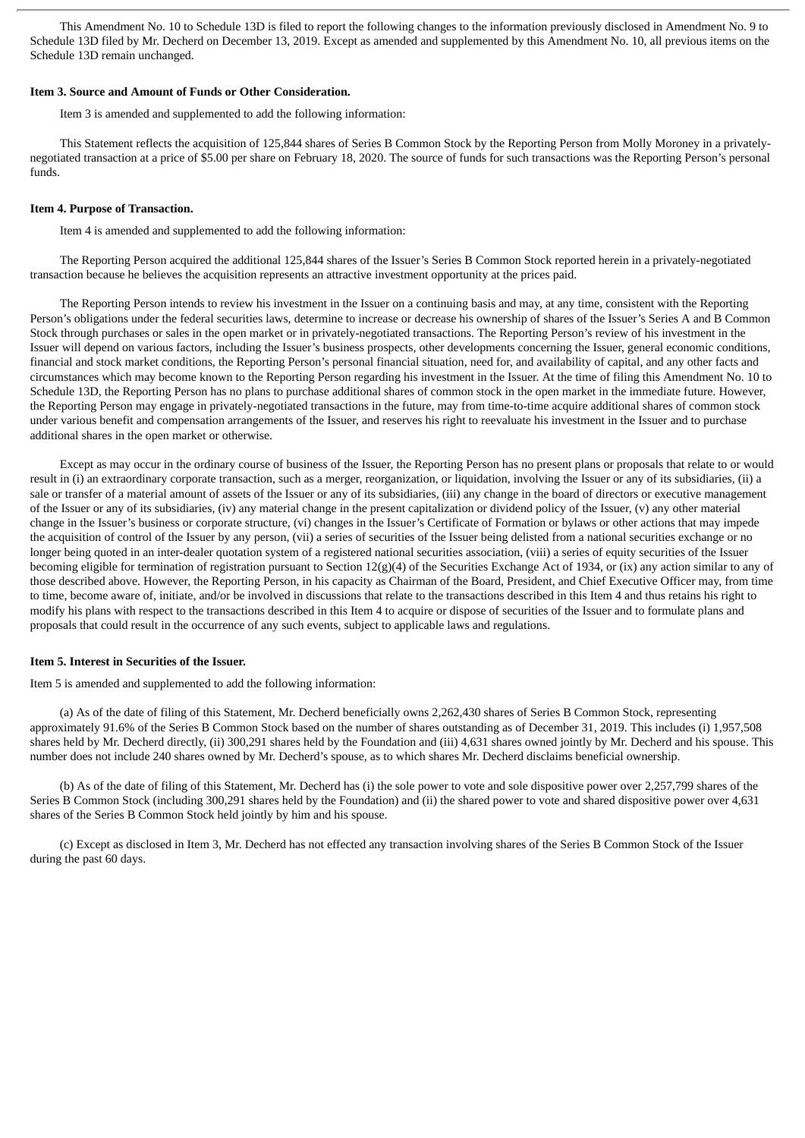This Amendment No. 10 to Schedule 13D is filed to report the following changes to the information previously disclosed in Amendment No. 9 to Schedule 13D filed by Mr. Decherd on December 13, 2019. Except as amended and supplemented by this Amendment No. 10, all previous items on the Schedule 13D remain unchanged.

#### **Item 3. Source and Amount of Funds or Other Consideration.**

Item 3 is amended and supplemented to add the following information:

This Statement reflects the acquisition of 125,844 shares of Series B Common Stock by the Reporting Person from Molly Moroney in a privatelynegotiated transaction at a price of \$5.00 per share on February 18, 2020. The source of funds for such transactions was the Reporting Person's personal funds.

#### **Item 4. Purpose of Transaction.**

Item 4 is amended and supplemented to add the following information:

The Reporting Person acquired the additional 125,844 shares of the Issuer's Series B Common Stock reported herein in a privately-negotiated transaction because he believes the acquisition represents an attractive investment opportunity at the prices paid.

The Reporting Person intends to review his investment in the Issuer on a continuing basis and may, at any time, consistent with the Reporting Person's obligations under the federal securities laws, determine to increase or decrease his ownership of shares of the Issuer's Series A and B Common Stock through purchases or sales in the open market or in privately-negotiated transactions. The Reporting Person's review of his investment in the Issuer will depend on various factors, including the Issuer's business prospects, other developments concerning the Issuer, general economic conditions, financial and stock market conditions, the Reporting Person's personal financial situation, need for, and availability of capital, and any other facts and circumstances which may become known to the Reporting Person regarding his investment in the Issuer. At the time of filing this Amendment No. 10 to Schedule 13D, the Reporting Person has no plans to purchase additional shares of common stock in the open market in the immediate future. However, the Reporting Person may engage in privately-negotiated transactions in the future, may from time-to-time acquire additional shares of common stock under various benefit and compensation arrangements of the Issuer, and reserves his right to reevaluate his investment in the Issuer and to purchase additional shares in the open market or otherwise.

Except as may occur in the ordinary course of business of the Issuer, the Reporting Person has no present plans or proposals that relate to or would result in (i) an extraordinary corporate transaction, such as a merger, reorganization, or liquidation, involving the Issuer or any of its subsidiaries, (ii) a sale or transfer of a material amount of assets of the Issuer or any of its subsidiaries, (iii) any change in the board of directors or executive management of the Issuer or any of its subsidiaries, (iv) any material change in the present capitalization or dividend policy of the Issuer, (v) any other material change in the Issuer's business or corporate structure, (vi) changes in the Issuer's Certificate of Formation or bylaws or other actions that may impede the acquisition of control of the Issuer by any person, (vii) a series of securities of the Issuer being delisted from a national securities exchange or no longer being quoted in an inter-dealer quotation system of a registered national securities association, (viii) a series of equity securities of the Issuer becoming eligible for termination of registration pursuant to Section 12(g)(4) of the Securities Exchange Act of 1934, or (ix) any action similar to any of those described above. However, the Reporting Person, in his capacity as Chairman of the Board, President, and Chief Executive Officer may, from time to time, become aware of, initiate, and/or be involved in discussions that relate to the transactions described in this Item 4 and thus retains his right to modify his plans with respect to the transactions described in this Item 4 to acquire or dispose of securities of the Issuer and to formulate plans and proposals that could result in the occurrence of any such events, subject to applicable laws and regulations.

#### **Item 5. Interest in Securities of the Issuer.**

Item 5 is amended and supplemented to add the following information:

(a) As of the date of filing of this Statement, Mr. Decherd beneficially owns 2,262,430 shares of Series B Common Stock, representing approximately 91.6% of the Series B Common Stock based on the number of shares outstanding as of December 31, 2019. This includes (i) 1,957,508 shares held by Mr. Decherd directly, (ii) 300,291 shares held by the Foundation and (iii) 4,631 shares owned jointly by Mr. Decherd and his spouse. This number does not include 240 shares owned by Mr. Decherd's spouse, as to which shares Mr. Decherd disclaims beneficial ownership.

(b) As of the date of filing of this Statement, Mr. Decherd has (i) the sole power to vote and sole dispositive power over 2,257,799 shares of the Series B Common Stock (including 300,291 shares held by the Foundation) and (ii) the shared power to vote and shared dispositive power over 4,631 shares of the Series B Common Stock held jointly by him and his spouse.

(c) Except as disclosed in Item 3, Mr. Decherd has not effected any transaction involving shares of the Series B Common Stock of the Issuer during the past 60 days.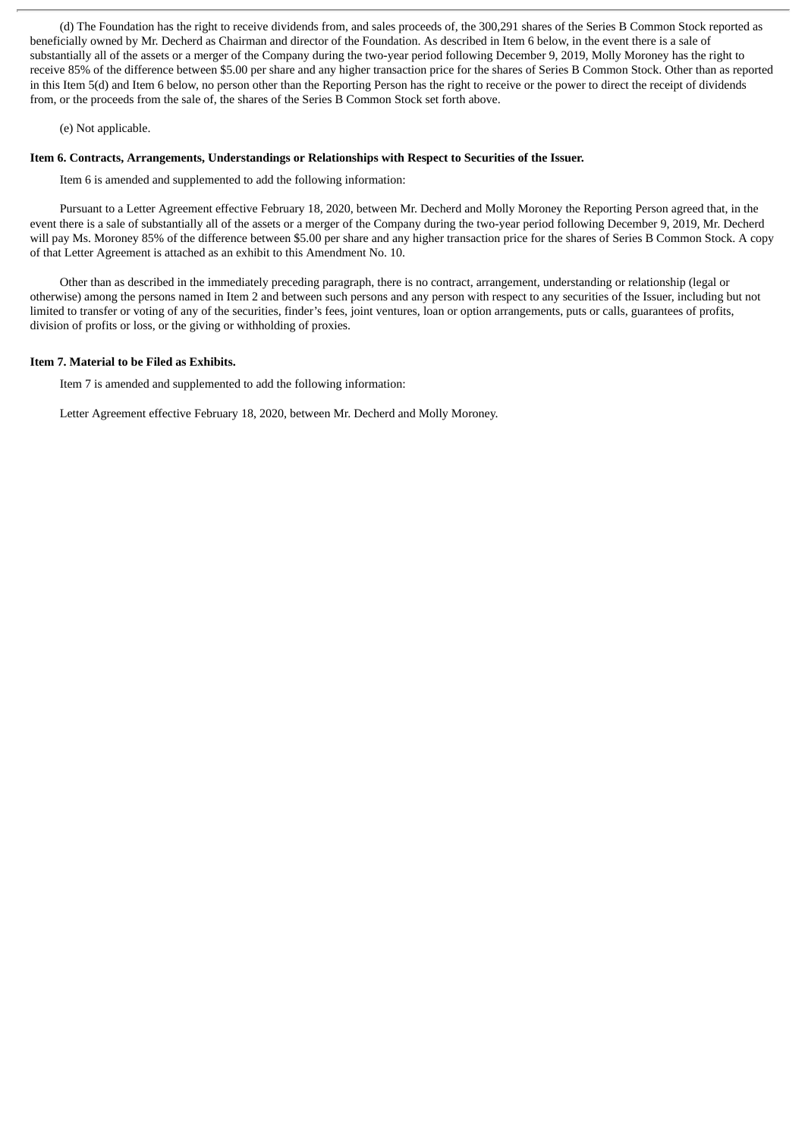(d) The Foundation has the right to receive dividends from, and sales proceeds of, the 300,291 shares of the Series B Common Stock reported as beneficially owned by Mr. Decherd as Chairman and director of the Foundation. As described in Item 6 below, in the event there is a sale of substantially all of the assets or a merger of the Company during the two-year period following December 9, 2019, Molly Moroney has the right to receive 85% of the difference between \$5.00 per share and any higher transaction price for the shares of Series B Common Stock. Other than as reported in this Item 5(d) and Item 6 below, no person other than the Reporting Person has the right to receive or the power to direct the receipt of dividends from, or the proceeds from the sale of, the shares of the Series B Common Stock set forth above.

#### (e) Not applicable.

## **Item 6. Contracts, Arrangements, Understandings or Relationships with Respect to Securities of the Issuer.**

Item 6 is amended and supplemented to add the following information:

Pursuant to a Letter Agreement effective February 18, 2020, between Mr. Decherd and Molly Moroney the Reporting Person agreed that, in the event there is a sale of substantially all of the assets or a merger of the Company during the two-year period following December 9, 2019, Mr. Decherd will pay Ms. Moroney 85% of the difference between \$5.00 per share and any higher transaction price for the shares of Series B Common Stock. A copy of that Letter Agreement is attached as an exhibit to this Amendment No. 10.

Other than as described in the immediately preceding paragraph, there is no contract, arrangement, understanding or relationship (legal or otherwise) among the persons named in Item 2 and between such persons and any person with respect to any securities of the Issuer, including but not limited to transfer or voting of any of the securities, finder's fees, joint ventures, loan or option arrangements, puts or calls, guarantees of profits, division of profits or loss, or the giving or withholding of proxies.

#### **Item 7. Material to be Filed as Exhibits.**

Item 7 is amended and supplemented to add the following information:

Letter Agreement effective February 18, 2020, between Mr. Decherd and Molly Moroney.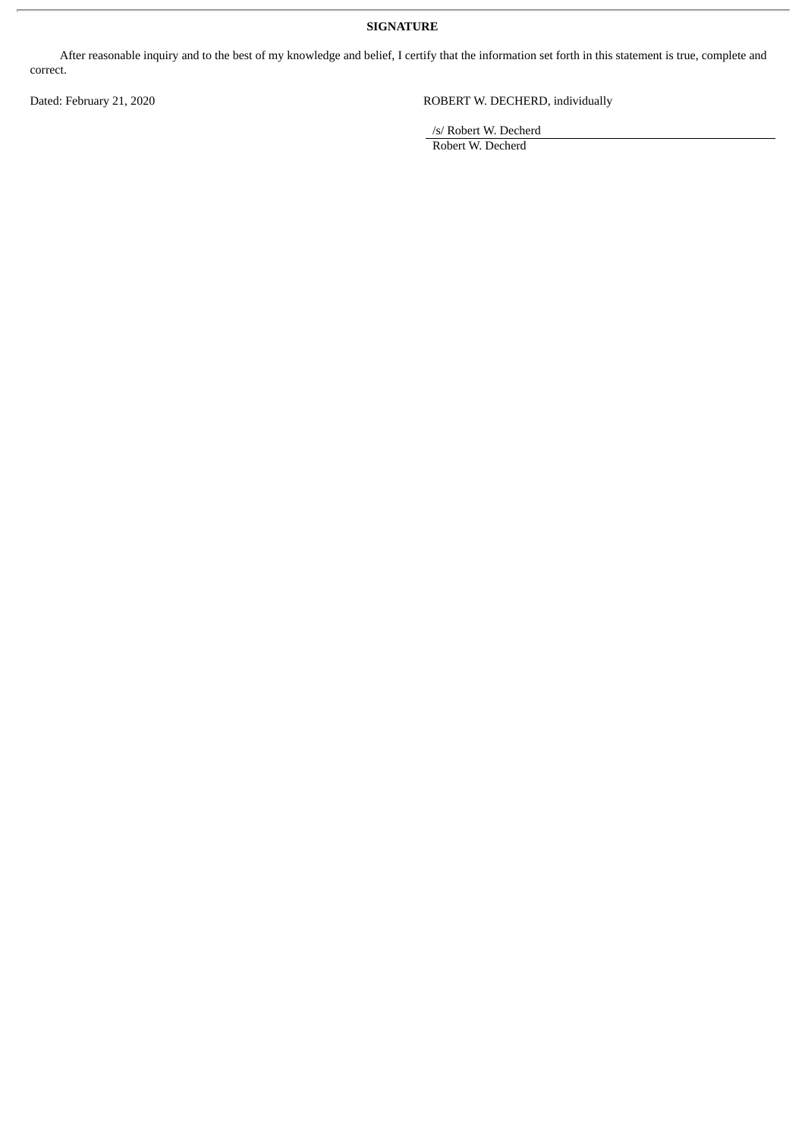## **SIGNATURE**

After reasonable inquiry and to the best of my knowledge and belief, I certify that the information set forth in this statement is true, complete and correct.

Dated: February 21, 2020 ROBERT W. DECHERD, individually

/s/ Robert W. Decherd

Robert W. Decherd